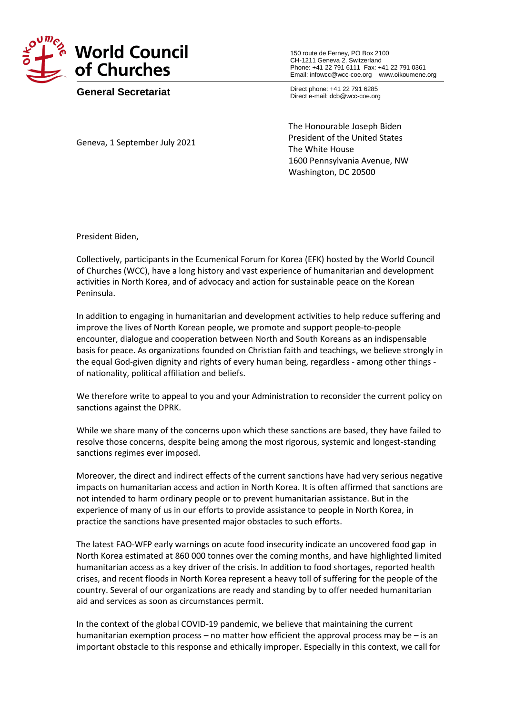

**General Secretariat**

150 route de Ferney, PO Box 2100 CH-1211 Geneva 2, Switzerland Phone: +41 22 791 6111 Fax: +41 22 791 0361 Email: infowcc@wcc-coe.org [www.oikoumene.org](http://www.oikoumene.org/)

Direct phone: +41 22 791 6285 Direct e-mail: dcb@wcc-coe.org

Geneva, 1 September July 2021

The Honourable Joseph Biden President of the United States The White House 1600 Pennsylvania Avenue, NW Washington, DC 20500

President Biden,

Collectively, participants in the Ecumenical Forum for Korea (EFK) hosted by the World Council of Churches (WCC), have a long history and vast experience of humanitarian and development activities in North Korea, and of advocacy and action for sustainable peace on the Korean Peninsula.

In addition to engaging in humanitarian and development activities to help reduce suffering and improve the lives of North Korean people, we promote and support people-to-people encounter, dialogue and cooperation between North and South Koreans as an indispensable basis for peace. As organizations founded on Christian faith and teachings, we believe strongly in the equal God-given dignity and rights of every human being, regardless - among other things of nationality, political affiliation and beliefs.

We therefore write to appeal to you and your Administration to reconsider the current policy on sanctions against the DPRK.

While we share many of the concerns upon which these sanctions are based, they have failed to resolve those concerns, despite being among the most rigorous, systemic and longest-standing sanctions regimes ever imposed.

Moreover, the direct and indirect effects of the current sanctions have had very serious negative impacts on humanitarian access and action in North Korea. It is often affirmed that sanctions are not intended to harm ordinary people or to prevent humanitarian assistance. But in the experience of many of us in our efforts to provide assistance to people in North Korea, in practice the sanctions have presented major obstacles to such efforts.

The latest FAO-WFP early warnings on acute food insecurity indicate an uncovered food gap in North Korea estimated at 860 000 tonnes over the coming months, and have highlighted limited humanitarian access as a key driver of the crisis. In addition to food shortages, reported health crises, and recent floods in North Korea represent a heavy toll of suffering for the people of the country. Several of our organizations are ready and standing by to offer needed humanitarian aid and services as soon as circumstances permit.

In the context of the global COVID-19 pandemic, we believe that maintaining the current humanitarian exemption process – no matter how efficient the approval process may be – is an important obstacle to this response and ethically improper. Especially in this context, we call for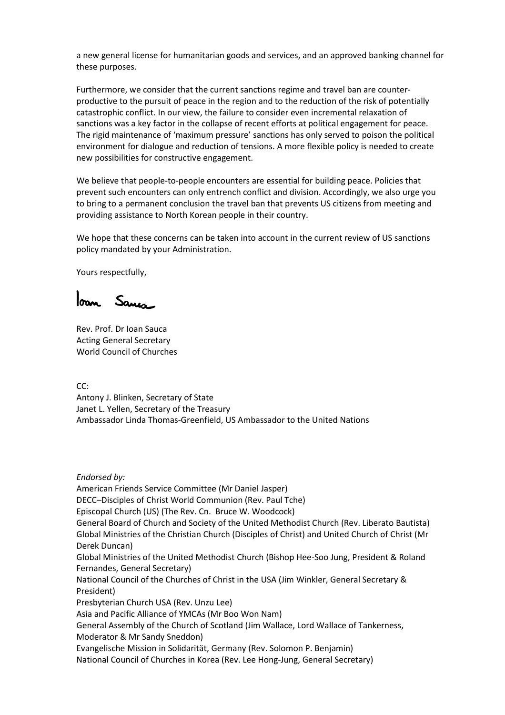a new general license for humanitarian goods and services, and an approved banking channel for these purposes.

Furthermore, we consider that the current sanctions regime and travel ban are counterproductive to the pursuit of peace in the region and to the reduction of the risk of potentially catastrophic conflict. In our view, the failure to consider even incremental relaxation of sanctions was a key factor in the collapse of recent efforts at political engagement for peace. The rigid maintenance of 'maximum pressure' sanctions has only served to poison the political environment for dialogue and reduction of tensions. A more flexible policy is needed to create new possibilities for constructive engagement.

We believe that people-to-people encounters are essential for building peace. Policies that prevent such encounters can only entrench conflict and division. Accordingly, we also urge you to bring to a permanent conclusion the travel ban that prevents US citizens from meeting and providing assistance to North Korean people in their country.

We hope that these concerns can be taken into account in the current review of US sanctions policy mandated by your Administration.

Yours respectfully,

loan Sauca

Rev. Prof. Dr Ioan Sauca Acting General Secretary World Council of Churches

CC:

Antony J. Blinken, Secretary of State Janet L. Yellen, Secretary of the Treasury Ambassador Linda Thomas-Greenfield, US Ambassador to the United Nations

*Endorsed by:* American Friends Service Committee (Mr Daniel Jasper) DECC–Disciples of Christ World Communion (Rev. Paul Tche) Episcopal Church (US) (The Rev. Cn. Bruce W. Woodcock) General Board of Church and Society of the United Methodist Church (Rev. Liberato Bautista) Global Ministries of the Christian Church (Disciples of Christ) and United Church of Christ (Mr Derek Duncan) Global Ministries of the United Methodist Church (Bishop Hee-Soo Jung, President & Roland Fernandes, General Secretary) National Council of the Churches of Christ in the USA (Jim Winkler, General Secretary & President) Presbyterian Church USA (Rev. Unzu Lee) Asia and Pacific Alliance of YMCAs (Mr Boo Won Nam) General Assembly of the Church of Scotland (Jim Wallace, Lord Wallace of Tankerness, Moderator & Mr Sandy Sneddon) Evangelische Mission in Solidarität, Germany (Rev. Solomon P. Benjamin) National Council of Churches in Korea (Rev. Lee Hong-Jung, General Secretary)